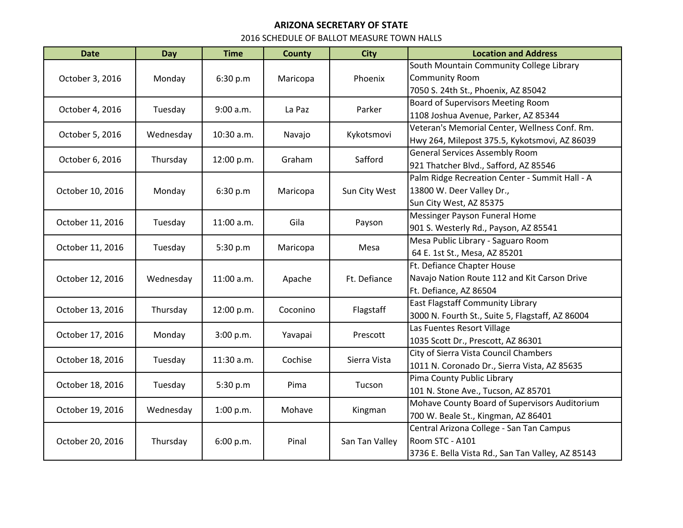## **ARIZONA SECRETARY OF STATE**

## 2016 SCHEDULE OF BALLOT MEASURE TOWN HALLS

| <b>Date</b>      | Day       | <b>Time</b>  | <b>County</b> | <b>City</b>    | <b>Location and Address</b>                       |
|------------------|-----------|--------------|---------------|----------------|---------------------------------------------------|
| October 3, 2016  | Monday    | 6:30 p.m     | Maricopa      | Phoenix        | South Mountain Community College Library          |
|                  |           |              |               |                | <b>Community Room</b>                             |
|                  |           |              |               |                | 7050 S. 24th St., Phoenix, AZ 85042               |
| October 4, 2016  | Tuesday   | 9:00 a.m.    | La Paz        | Parker         | Board of Supervisors Meeting Room                 |
|                  |           |              |               |                | 1108 Joshua Avenue, Parker, AZ 85344              |
| October 5, 2016  | Wednesday | 10:30 a.m.   | Navajo        | Kykotsmovi     | Veteran's Memorial Center, Wellness Conf. Rm.     |
|                  |           |              |               |                | Hwy 264, Milepost 375.5, Kykotsmovi, AZ 86039     |
| October 6, 2016  | Thursday  | 12:00 p.m.   | Graham        | Safford        | <b>General Services Assembly Room</b>             |
|                  |           |              |               |                | 921 Thatcher Blvd., Safford, AZ 85546             |
| October 10, 2016 | Monday    | 6:30 p.m     | Maricopa      | Sun City West  | Palm Ridge Recreation Center - Summit Hall - A    |
|                  |           |              |               |                | 13800 W. Deer Valley Dr.,                         |
|                  |           |              |               |                | Sun City West, AZ 85375                           |
| October 11, 2016 | Tuesday   | 11:00 a.m.   | Gila          | Payson         | Messinger Payson Funeral Home                     |
|                  |           |              |               |                | 901 S. Westerly Rd., Payson, AZ 85541             |
| October 11, 2016 | Tuesday   | 5:30 p.m     | Maricopa      | Mesa           | Mesa Public Library - Saguaro Room                |
|                  |           |              |               |                | 64 E. 1st St., Mesa, AZ 85201                     |
| October 12, 2016 | Wednesday | 11:00 a.m.   | Apache        | Ft. Defiance   | Ft. Defiance Chapter House                        |
|                  |           |              |               |                | Navajo Nation Route 112 and Kit Carson Drive      |
|                  |           |              |               |                | Ft. Defiance, AZ 86504                            |
| October 13, 2016 | Thursday  | 12:00 p.m.   | Coconino      | Flagstaff      | <b>East Flagstaff Community Library</b>           |
|                  |           |              |               |                | 3000 N. Fourth St., Suite 5, Flagstaff, AZ 86004  |
| October 17, 2016 | Monday    | 3:00 p.m.    | Yavapai       | Prescott       | Las Fuentes Resort Village                        |
|                  |           |              |               |                | 1035 Scott Dr., Prescott, AZ 86301                |
| October 18, 2016 | Tuesday   | $11:30$ a.m. | Cochise       | Sierra Vista   | City of Sierra Vista Council Chambers             |
|                  |           |              |               |                | 1011 N. Coronado Dr., Sierra Vista, AZ 85635      |
| October 18, 2016 | Tuesday   | 5:30 p.m     | Pima          | Tucson         | Pima County Public Library                        |
|                  |           |              |               |                | 101 N. Stone Ave., Tucson, AZ 85701               |
| October 19, 2016 | Wednesday | 1:00 p.m.    | Mohave        | Kingman        | Mohave County Board of Supervisors Auditorium     |
|                  |           |              |               |                | 700 W. Beale St., Kingman, AZ 86401               |
| October 20, 2016 | Thursday  | 6:00 p.m.    | Pinal         | San Tan Valley | Central Arizona College - San Tan Campus          |
|                  |           |              |               |                | Room STC - A101                                   |
|                  |           |              |               |                | 3736 E. Bella Vista Rd., San Tan Valley, AZ 85143 |